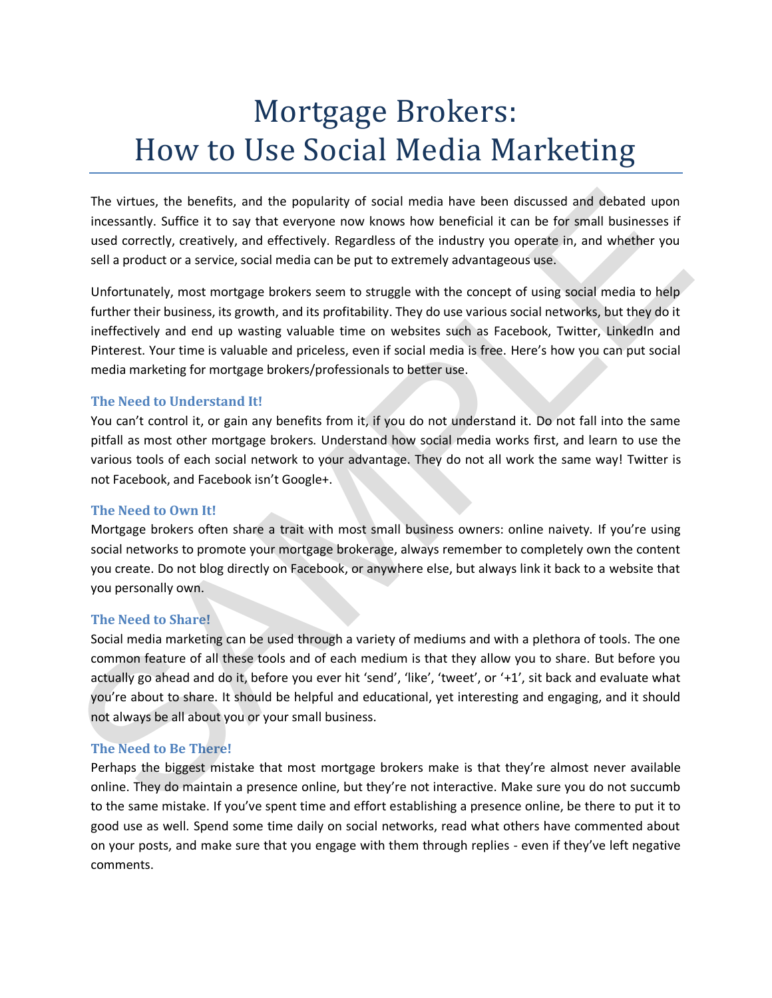# Mortgage Brokers: How to Use Social Media Marketing

The virtues, the benefits, and the popularity of social media have been discussed and debated upon incessantly. Suffice it to say that everyone now knows how beneficial it can be for small businesses if used correctly, creatively, and effectively. Regardless of the industry you operate in, and whether you sell a product or a service, social media can be put to extremely advantageous use.

Unfortunately, most mortgage brokers seem to struggle with the concept of using social media to help further their business, its growth, and its profitability. They do use various social networks, but they do it ineffectively and end up wasting valuable time on websites such as Facebook, Twitter, LinkedIn and Pinterest. Your time is valuable and priceless, even if social media is free. Here's how you can put social media marketing for mortgage brokers/professionals to better use.

# **The Need to Understand It!**

You can't control it, or gain any benefits from it, if you do not understand it. Do not fall into the same pitfall as most other mortgage brokers. Understand how social media works first, and learn to use the various tools of each social network to your advantage. They do not all work the same way! Twitter is not Facebook, and Facebook isn't Google+.

### **The Need to Own It!**

Mortgage brokers often share a trait with most small business owners: online naivety. If you're using social networks to promote your mortgage brokerage, always remember to completely own the content you create. Do not blog directly on Facebook, or anywhere else, but always link it back to a website that you personally own.

### **The Need to Share!**

Social media marketing can be used through a variety of mediums and with a plethora of tools. The one common feature of all these tools and of each medium is that they allow you to share. But before you actually go ahead and do it, before you ever hit 'send', 'like', 'tweet', or '+1', sit back and evaluate what you're about to share. It should be helpful and educational, yet interesting and engaging, and it should not always be all about you or your small business. The virtues, the benefits, and the popularity of social media have been discussed and debated upon<br>
incessarely, creatively, and affectively. Regardless of the industry quo operate in, and benefite its and<br>
used correctly,

# **The Need to Be There!**

Perhaps the biggest mistake that most mortgage brokers make is that they're almost never available online. They do maintain a presence online, but they're not interactive. Make sure you do not succumb to the same mistake. If you've spent time and effort establishing a presence online, be there to put it to good use as well. Spend some time daily on social networks, read what others have commented about on your posts, and make sure that you engage with them through replies - even if they've left negative comments.